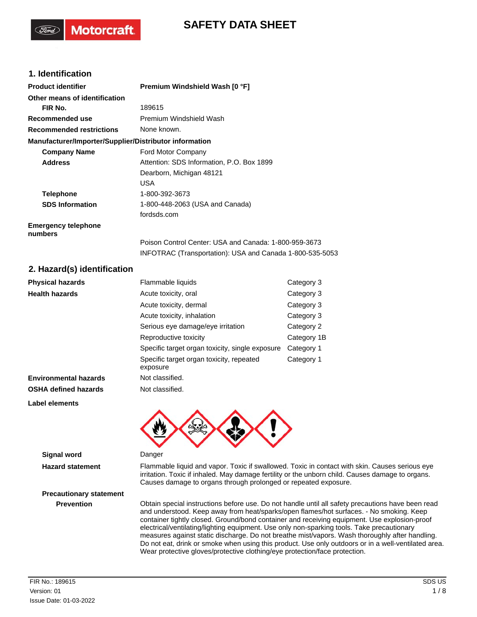# **SAFETY DATA SHEET**

# **1. Identification**

**Motorcraft** 

| <b>Product identifier</b>                              | Premium Windshield Wash [0 °F]                                                                                    |
|--------------------------------------------------------|-------------------------------------------------------------------------------------------------------------------|
| Other means of identification                          |                                                                                                                   |
| FIR No.                                                | 189615                                                                                                            |
| Recommended use                                        | Premium Windshield Wash                                                                                           |
| <b>Recommended restrictions</b>                        | None known.                                                                                                       |
| Manufacturer/Importer/Supplier/Distributor information |                                                                                                                   |
| <b>Company Name</b>                                    | Ford Motor Company                                                                                                |
| <b>Address</b>                                         | Attention: SDS Information, P.O. Box 1899                                                                         |
|                                                        | Dearborn, Michigan 48121                                                                                          |
|                                                        | <b>USA</b>                                                                                                        |
| <b>Telephone</b>                                       | 1-800-392-3673                                                                                                    |
| <b>SDS Information</b>                                 | 1-800-448-2063 (USA and Canada)                                                                                   |
|                                                        | fordsds.com                                                                                                       |
| <b>Emergency telephone</b><br>numbers                  |                                                                                                                   |
|                                                        | Poison Control Center: USA and Canada: 1-800-959-3673<br>INFOTRAC (Transportation): USA and Canada 1-800-535-5053 |

## **2. Hazard(s) identification**

| <b>Physical hazards</b>      | Flammable liquids<br>Category 3                      |             |  |
|------------------------------|------------------------------------------------------|-------------|--|
| <b>Health hazards</b>        | Acute toxicity, oral                                 | Category 3  |  |
|                              | Acute toxicity, dermal                               | Category 3  |  |
|                              | Acute toxicity, inhalation                           | Category 3  |  |
|                              | Serious eye damage/eye irritation                    | Category 2  |  |
|                              | Reproductive toxicity                                | Category 1B |  |
|                              | Specific target organ toxicity, single exposure      | Category 1  |  |
|                              | Specific target organ toxicity, repeated<br>exposure | Category 1  |  |
| <b>Environmental hazards</b> | Not classified.                                      |             |  |
| <b>OSHA defined hazards</b>  | Not classified.                                      |             |  |
| Label elements               |                                                      |             |  |
|                              |                                                      |             |  |



**Hazard statement** Flammable liquid and vapor. Toxic if swallowed. Toxic in contact with skin. Causes serious eye irritation. Toxic if inhaled. May damage fertility or the unborn child. Causes damage to organs. Causes damage to organs through prolonged or repeated exposure.

**Prevention** Obtain special instructions before use. Do not handle until all safety precautions have been read and understood. Keep away from heat/sparks/open flames/hot surfaces. - No smoking. Keep container tightly closed. Ground/bond container and receiving equipment. Use explosion-proof electrical/ventilating/lighting equipment. Use only non-sparking tools. Take precautionary measures against static discharge. Do not breathe mist/vapors. Wash thoroughly after handling. Do not eat, drink or smoke when using this product. Use only outdoors or in a well-ventilated area. Wear protective gloves/protective clothing/eye protection/face protection.

**Precautionary statement**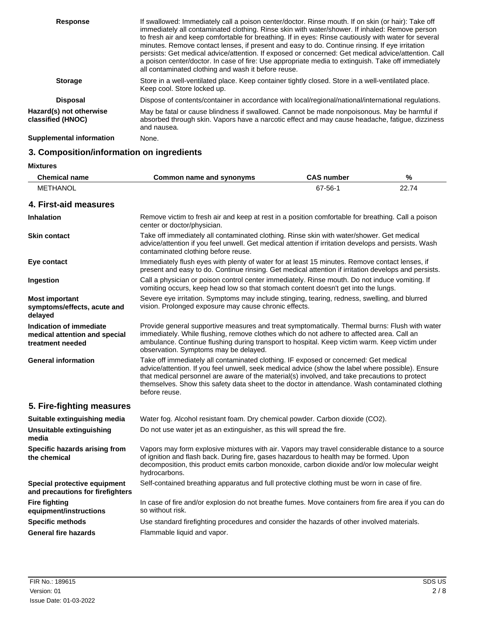| <b>Response</b>                              | If swallowed: Immediately call a poison center/doctor. Rinse mouth. If on skin (or hair): Take off<br>immediately all contaminated clothing. Rinse skin with water/shower. If inhaled: Remove person<br>to fresh air and keep comfortable for breathing. If in eyes: Rinse cautiously with water for several<br>minutes. Remove contact lenses, if present and easy to do. Continue rinsing. If eye irritation<br>persists: Get medical advice/attention. If exposed or concerned: Get medical advice/attention. Call<br>a poison center/doctor. In case of fire: Use appropriate media to extinguish. Take off immediately<br>all contaminated clothing and wash it before reuse. |
|----------------------------------------------|------------------------------------------------------------------------------------------------------------------------------------------------------------------------------------------------------------------------------------------------------------------------------------------------------------------------------------------------------------------------------------------------------------------------------------------------------------------------------------------------------------------------------------------------------------------------------------------------------------------------------------------------------------------------------------|
| <b>Storage</b>                               | Store in a well-ventilated place. Keep container tightly closed. Store in a well-ventilated place.<br>Keep cool. Store locked up.                                                                                                                                                                                                                                                                                                                                                                                                                                                                                                                                                  |
| <b>Disposal</b>                              | Dispose of contents/container in accordance with local/regional/national/international regulations.                                                                                                                                                                                                                                                                                                                                                                                                                                                                                                                                                                                |
| Hazard(s) not otherwise<br>classified (HNOC) | May be fatal or cause blindness if swallowed. Cannot be made nonpoisonous. May be harmful if<br>absorbed through skin. Vapors have a narcotic effect and may cause headache, fatigue, dizziness<br>and nausea.                                                                                                                                                                                                                                                                                                                                                                                                                                                                     |
| <b>Supplemental information</b>              | None.                                                                                                                                                                                                                                                                                                                                                                                                                                                                                                                                                                                                                                                                              |

# **3. Composition/information on ingredients**

**Mixtures**

| <b>Chemical name</b>                                                         | Common name and synonyms                                                                                                                                                                                                                                                                                                                                                                                       | <b>CAS number</b> | $\%$  |
|------------------------------------------------------------------------------|----------------------------------------------------------------------------------------------------------------------------------------------------------------------------------------------------------------------------------------------------------------------------------------------------------------------------------------------------------------------------------------------------------------|-------------------|-------|
| <b>METHANOL</b>                                                              |                                                                                                                                                                                                                                                                                                                                                                                                                | 67-56-1           | 22.74 |
| 4. First-aid measures                                                        |                                                                                                                                                                                                                                                                                                                                                                                                                |                   |       |
| <b>Inhalation</b>                                                            | Remove victim to fresh air and keep at rest in a position comfortable for breathing. Call a poison<br>center or doctor/physician.                                                                                                                                                                                                                                                                              |                   |       |
| <b>Skin contact</b>                                                          | Take off immediately all contaminated clothing. Rinse skin with water/shower. Get medical<br>advice/attention if you feel unwell. Get medical attention if irritation develops and persists. Wash<br>contaminated clothing before reuse.                                                                                                                                                                       |                   |       |
| Eye contact                                                                  | Immediately flush eyes with plenty of water for at least 15 minutes. Remove contact lenses, if<br>present and easy to do. Continue rinsing. Get medical attention if irritation develops and persists.                                                                                                                                                                                                         |                   |       |
| Ingestion                                                                    | Call a physician or poison control center immediately. Rinse mouth. Do not induce vomiting. If<br>vomiting occurs, keep head low so that stomach content doesn't get into the lungs.                                                                                                                                                                                                                           |                   |       |
| <b>Most important</b><br>symptoms/effects, acute and<br>delayed              | Severe eye irritation. Symptoms may include stinging, tearing, redness, swelling, and blurred<br>vision. Prolonged exposure may cause chronic effects.                                                                                                                                                                                                                                                         |                   |       |
| Indication of immediate<br>medical attention and special<br>treatment needed | Provide general supportive measures and treat symptomatically. Thermal burns: Flush with water<br>immediately. While flushing, remove clothes which do not adhere to affected area. Call an<br>ambulance. Continue flushing during transport to hospital. Keep victim warm. Keep victim under<br>observation. Symptoms may be delayed.                                                                         |                   |       |
| <b>General information</b>                                                   | Take off immediately all contaminated clothing. IF exposed or concerned: Get medical<br>advice/attention. If you feel unwell, seek medical advice (show the label where possible). Ensure<br>that medical personnel are aware of the material(s) involved, and take precautions to protect<br>themselves. Show this safety data sheet to the doctor in attendance. Wash contaminated clothing<br>before reuse. |                   |       |
| 5. Fire-fighting measures                                                    |                                                                                                                                                                                                                                                                                                                                                                                                                |                   |       |
| Suitable extinguishing media                                                 | Water fog. Alcohol resistant foam. Dry chemical powder. Carbon dioxide (CO2).                                                                                                                                                                                                                                                                                                                                  |                   |       |
| Unsuitable extinguishing<br>media                                            | Do not use water jet as an extinguisher, as this will spread the fire.                                                                                                                                                                                                                                                                                                                                         |                   |       |
| Specific hazards arising from<br>the chemical                                | Vapors may form explosive mixtures with air. Vapors may travel considerable distance to a source<br>of ignition and flash back. During fire, gases hazardous to health may be formed. Upon<br>decomposition, this product emits carbon monoxide, carbon dioxide and/or low molecular weight<br>hydrocarbons.                                                                                                   |                   |       |
| Special protective equipment<br>and precautions for firefighters             | Self-contained breathing apparatus and full protective clothing must be worn in case of fire.                                                                                                                                                                                                                                                                                                                  |                   |       |
| <b>Fire fighting</b><br>equipment/instructions                               | In case of fire and/or explosion do not breathe fumes. Move containers from fire area if you can do<br>so without risk.                                                                                                                                                                                                                                                                                        |                   |       |
| <b>Specific methods</b>                                                      | Use standard firefighting procedures and consider the hazards of other involved materials.                                                                                                                                                                                                                                                                                                                     |                   |       |
| <b>General fire hazards</b>                                                  | Flammable liquid and vapor.                                                                                                                                                                                                                                                                                                                                                                                    |                   |       |
|                                                                              |                                                                                                                                                                                                                                                                                                                                                                                                                |                   |       |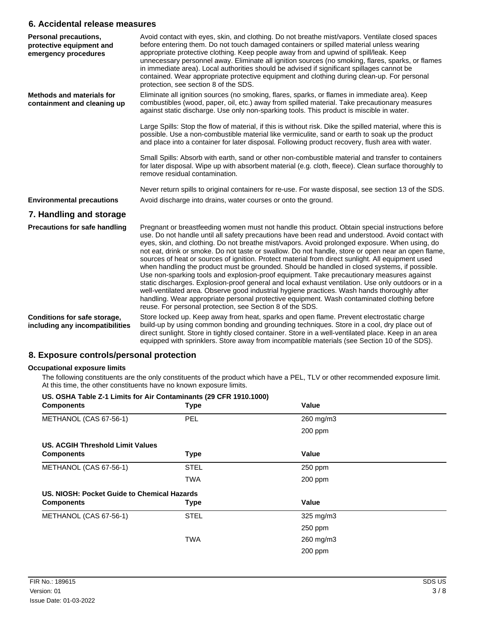#### **6. Accidental release measures**

| Personal precautions,<br>protective equipment and<br>emergency procedures | Avoid contact with eyes, skin, and clothing. Do not breathe mist/vapors. Ventilate closed spaces<br>before entering them. Do not touch damaged containers or spilled material unless wearing<br>appropriate protective clothing. Keep people away from and upwind of spill/leak. Keep<br>unnecessary personnel away. Eliminate all ignition sources (no smoking, flares, sparks, or flames<br>in immediate area). Local authorities should be advised if significant spillages cannot be<br>contained. Wear appropriate protective equipment and clothing during clean-up. For personal<br>protection, see section 8 of the SDS.                                                                                                                                                                                                                                                                                                                                                                                                                                                    |
|---------------------------------------------------------------------------|-------------------------------------------------------------------------------------------------------------------------------------------------------------------------------------------------------------------------------------------------------------------------------------------------------------------------------------------------------------------------------------------------------------------------------------------------------------------------------------------------------------------------------------------------------------------------------------------------------------------------------------------------------------------------------------------------------------------------------------------------------------------------------------------------------------------------------------------------------------------------------------------------------------------------------------------------------------------------------------------------------------------------------------------------------------------------------------|
| <b>Methods and materials for</b><br>containment and cleaning up           | Eliminate all ignition sources (no smoking, flares, sparks, or flames in immediate area). Keep<br>combustibles (wood, paper, oil, etc.) away from spilled material. Take precautionary measures<br>against static discharge. Use only non-sparking tools. This product is miscible in water.                                                                                                                                                                                                                                                                                                                                                                                                                                                                                                                                                                                                                                                                                                                                                                                        |
|                                                                           | Large Spills: Stop the flow of material, if this is without risk. Dike the spilled material, where this is<br>possible. Use a non-combustible material like vermiculite, sand or earth to soak up the product<br>and place into a container for later disposal. Following product recovery, flush area with water.                                                                                                                                                                                                                                                                                                                                                                                                                                                                                                                                                                                                                                                                                                                                                                  |
|                                                                           | Small Spills: Absorb with earth, sand or other non-combustible material and transfer to containers<br>for later disposal. Wipe up with absorbent material (e.g. cloth, fleece). Clean surface thoroughly to<br>remove residual contamination.                                                                                                                                                                                                                                                                                                                                                                                                                                                                                                                                                                                                                                                                                                                                                                                                                                       |
|                                                                           | Never return spills to original containers for re-use. For waste disposal, see section 13 of the SDS.                                                                                                                                                                                                                                                                                                                                                                                                                                                                                                                                                                                                                                                                                                                                                                                                                                                                                                                                                                               |
| <b>Environmental precautions</b>                                          | Avoid discharge into drains, water courses or onto the ground.                                                                                                                                                                                                                                                                                                                                                                                                                                                                                                                                                                                                                                                                                                                                                                                                                                                                                                                                                                                                                      |
| 7. Handling and storage                                                   |                                                                                                                                                                                                                                                                                                                                                                                                                                                                                                                                                                                                                                                                                                                                                                                                                                                                                                                                                                                                                                                                                     |
| <b>Precautions for safe handling</b>                                      | Pregnant or breastfeeding women must not handle this product. Obtain special instructions before<br>use. Do not handle until all safety precautions have been read and understood. Avoid contact with<br>eyes, skin, and clothing. Do not breathe mist/vapors. Avoid prolonged exposure. When using, do<br>not eat, drink or smoke. Do not taste or swallow. Do not handle, store or open near an open flame,<br>sources of heat or sources of ignition. Protect material from direct sunlight. All equipment used<br>when handling the product must be grounded. Should be handled in closed systems, if possible.<br>Use non-sparking tools and explosion-proof equipment. Take precautionary measures against<br>static discharges. Explosion-proof general and local exhaust ventilation. Use only outdoors or in a<br>well-ventilated area. Observe good industrial hygiene practices. Wash hands thoroughly after<br>handling. Wear appropriate personal protective equipment. Wash contaminated clothing before<br>reuse. For personal protection, see Section 8 of the SDS. |
| Conditions for safe storage,<br>including any incompatibilities           | Store locked up. Keep away from heat, sparks and open flame. Prevent electrostatic charge<br>build-up by using common bonding and grounding techniques. Store in a cool, dry place out of<br>direct sunlight. Store in tightly closed container. Store in a well-ventilated place. Keep in an area<br>equipped with sprinklers. Store away from incompatible materials (see Section 10 of the SDS).                                                                                                                                                                                                                                                                                                                                                                                                                                                                                                                                                                                                                                                                                 |

## **8. Exposure controls/personal protection**

#### **Occupational exposure limits**

The following constituents are the only constituents of the product which have a PEL, TLV or other recommended exposure limit. At this time, the other constituents have no known exposure limits.

| US. OSHA Table Z-1 Limits for Air Contaminants (29 CFR 1910.1000)<br><b>Components</b> | <b>Type</b> | Value          |  |
|----------------------------------------------------------------------------------------|-------------|----------------|--|
| METHANOL (CAS 67-56-1)                                                                 | PEL         | 260 mg/m3      |  |
|                                                                                        |             | 200 ppm        |  |
| US. ACGIH Threshold Limit Values                                                       |             |                |  |
| <b>Components</b>                                                                      | <b>Type</b> | Value          |  |
| METHANOL (CAS 67-56-1)                                                                 | <b>STEL</b> | 250 ppm        |  |
|                                                                                        | <b>TWA</b>  | 200 ppm        |  |
| US. NIOSH: Pocket Guide to Chemical Hazards                                            |             |                |  |
| <b>Components</b>                                                                      | <b>Type</b> | Value          |  |
| METHANOL (CAS 67-56-1)                                                                 | <b>STEL</b> | $325$ mg/m $3$ |  |
|                                                                                        |             | 250 ppm        |  |
|                                                                                        | <b>TWA</b>  | 260 mg/m3      |  |
|                                                                                        |             | $200$ ppm      |  |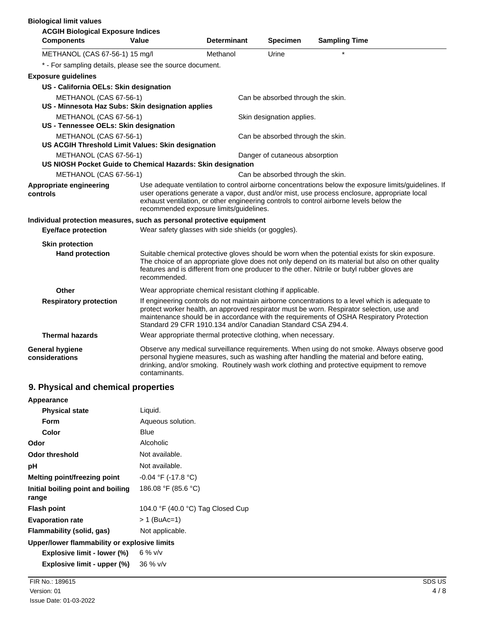| <b>Biological limit values</b>                                                        |                                                               |                    |                                   |                                                                                                                                                                                                                                                                                                      |
|---------------------------------------------------------------------------------------|---------------------------------------------------------------|--------------------|-----------------------------------|------------------------------------------------------------------------------------------------------------------------------------------------------------------------------------------------------------------------------------------------------------------------------------------------------|
| <b>ACGIH Biological Exposure Indices</b>                                              |                                                               |                    |                                   |                                                                                                                                                                                                                                                                                                      |
| <b>Components</b>                                                                     | Value                                                         | <b>Determinant</b> | <b>Specimen</b>                   | <b>Sampling Time</b>                                                                                                                                                                                                                                                                                 |
| METHANOL (CAS 67-56-1) 15 mg/l                                                        |                                                               | Methanol           | Urine                             |                                                                                                                                                                                                                                                                                                      |
| * - For sampling details, please see the source document.                             |                                                               |                    |                                   |                                                                                                                                                                                                                                                                                                      |
| <b>Exposure guidelines</b>                                                            |                                                               |                    |                                   |                                                                                                                                                                                                                                                                                                      |
| US - California OELs: Skin designation                                                |                                                               |                    |                                   |                                                                                                                                                                                                                                                                                                      |
| METHANOL (CAS 67-56-1)                                                                |                                                               |                    | Can be absorbed through the skin. |                                                                                                                                                                                                                                                                                                      |
| US - Minnesota Haz Subs: Skin designation applies                                     |                                                               |                    |                                   |                                                                                                                                                                                                                                                                                                      |
| METHANOL (CAS 67-56-1)                                                                |                                                               |                    | Skin designation applies.         |                                                                                                                                                                                                                                                                                                      |
| US - Tennessee OELs: Skin designation                                                 |                                                               |                    |                                   |                                                                                                                                                                                                                                                                                                      |
| METHANOL (CAS 67-56-1)                                                                |                                                               |                    | Can be absorbed through the skin. |                                                                                                                                                                                                                                                                                                      |
| US ACGIH Threshold Limit Values: Skin designation                                     |                                                               |                    |                                   |                                                                                                                                                                                                                                                                                                      |
| METHANOL (CAS 67-56-1)<br>US NIOSH Pocket Guide to Chemical Hazards: Skin designation |                                                               |                    | Danger of cutaneous absorption    |                                                                                                                                                                                                                                                                                                      |
| METHANOL (CAS 67-56-1)                                                                |                                                               |                    | Can be absorbed through the skin. |                                                                                                                                                                                                                                                                                                      |
|                                                                                       |                                                               |                    |                                   | Use adequate ventilation to control airborne concentrations below the exposure limits/guidelines. If                                                                                                                                                                                                 |
| Appropriate engineering<br>controls                                                   | recommended exposure limits/guidelines.                       |                    |                                   | user operations generate a vapor, dust and/or mist, use process enclosure, appropriate local<br>exhaust ventilation, or other engineering controls to control airborne levels below the                                                                                                              |
| Individual protection measures, such as personal protective equipment                 |                                                               |                    |                                   |                                                                                                                                                                                                                                                                                                      |
| <b>Eye/face protection</b>                                                            | Wear safety glasses with side shields (or goggles).           |                    |                                   |                                                                                                                                                                                                                                                                                                      |
| <b>Skin protection</b>                                                                |                                                               |                    |                                   |                                                                                                                                                                                                                                                                                                      |
| <b>Hand protection</b>                                                                | recommended.                                                  |                    |                                   | Suitable chemical protective gloves should be worn when the potential exists for skin exposure.<br>The choice of an appropriate glove does not only depend on its material but also on other quality<br>features and is different from one producer to the other. Nitrile or butyl rubber gloves are |
| Other                                                                                 | Wear appropriate chemical resistant clothing if applicable.   |                    |                                   |                                                                                                                                                                                                                                                                                                      |
| <b>Respiratory protection</b>                                                         | Standard 29 CFR 1910.134 and/or Canadian Standard CSA Z94.4.  |                    |                                   | If engineering controls do not maintain airborne concentrations to a level which is adequate to<br>protect worker health, an approved respirator must be worn. Respirator selection, use and<br>maintenance should be in accordance with the requirements of OSHA Respiratory Protection             |
| <b>Thermal hazards</b>                                                                | Wear appropriate thermal protective clothing, when necessary. |                    |                                   |                                                                                                                                                                                                                                                                                                      |
| <b>General hygiene</b><br>considerations                                              | contaminants.                                                 |                    |                                   | Observe any medical surveillance requirements. When using do not smoke. Always observe good<br>personal hygiene measures, such as washing after handling the material and before eating,<br>drinking, and/or smoking. Routinely wash work clothing and protective equipment to remove                |

# **9. Physical and chemical properties**

| Appearance                                   |                                   |
|----------------------------------------------|-----------------------------------|
| <b>Physical state</b>                        | Liquid.                           |
| <b>Form</b>                                  | Aqueous solution.                 |
| Color                                        | Blue                              |
| Odor                                         | Alcoholic                         |
| Odor threshold                               | Not available.                    |
| рH                                           | Not available.                    |
| Melting point/freezing point                 | $-0.04$ °F (-17.8 °C)             |
| Initial boiling point and boiling<br>range   | 186.08 °F (85.6 °C)               |
| <b>Flash point</b>                           | 104.0 °F (40.0 °C) Tag Closed Cup |
| <b>Evaporation rate</b>                      | > 1 (BuAc=1)                      |
| Flammability (solid, gas)                    | Not applicable.                   |
| Upper/lower flammability or explosive limits |                                   |
| Explosive limit - lower (%)                  | 6 % $v/v$                         |

**Explosive limit - upper (%)** 36 % v/v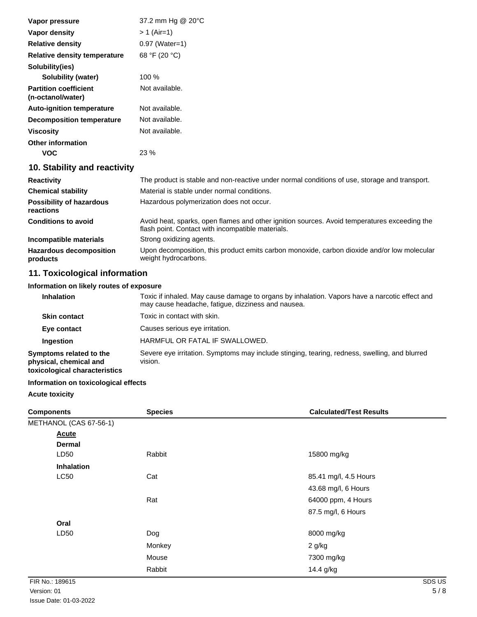| Vapor pressure                                    | 37.2 mm Hg @ 20°C                                                                                                                                 |
|---------------------------------------------------|---------------------------------------------------------------------------------------------------------------------------------------------------|
| <b>Vapor density</b>                              | $> 1$ (Air=1)                                                                                                                                     |
| <b>Relative density</b>                           | $0.97$ (Water=1)                                                                                                                                  |
| Relative density temperature                      | 68 °F (20 °C)                                                                                                                                     |
| Solubility(ies)                                   |                                                                                                                                                   |
| <b>Solubility (water)</b>                         | 100 %                                                                                                                                             |
| <b>Partition coefficient</b><br>(n-octanol/water) | Not available.                                                                                                                                    |
| <b>Auto-ignition temperature</b>                  | Not available.                                                                                                                                    |
| Decomposition temperature                         | Not available.                                                                                                                                    |
| <b>Viscosity</b>                                  | Not available.                                                                                                                                    |
| <b>Other information</b>                          |                                                                                                                                                   |
| <b>VOC</b>                                        | 23 %                                                                                                                                              |
| 10. Stability and reactivity                      |                                                                                                                                                   |
| <b>Reactivity</b>                                 | The product is stable and non-reactive under normal conditions of use, storage and transport.                                                     |
| <b>Chemical stability</b>                         | Material is stable under normal conditions.                                                                                                       |
| <b>Possibility of hazardous</b><br>reactions      | Hazardous polymerization does not occur.                                                                                                          |
| <b>Conditions to avoid</b>                        | Avoid heat, sparks, open flames and other ignition sources. Avoid temperatures exceeding the<br>flash point. Contact with incompatible materials. |
| Incompatible materials                            | Strong oxidizing agents.                                                                                                                          |
| <b>Hazardous decomposition</b><br>products        | Upon decomposition, this product emits carbon monoxide, carbon dioxide and/or low molecular<br>weight hydrocarbons.                               |

# **11. Toxicological information**

# **Information on likely routes of exposure**

| <b>Inhalation</b>                                                                  | Toxic if inhaled. May cause damage to organs by inhalation. Vapors have a narcotic effect and<br>may cause headache, fatique, dizziness and nausea. |
|------------------------------------------------------------------------------------|-----------------------------------------------------------------------------------------------------------------------------------------------------|
| <b>Skin contact</b>                                                                | Toxic in contact with skin.                                                                                                                         |
| Eye contact                                                                        | Causes serious eye irritation.                                                                                                                      |
| Ingestion                                                                          | HARMFUL OR FATAL IF SWALLOWED.                                                                                                                      |
| Symptoms related to the<br>physical, chemical and<br>toxicological characteristics | Severe eye irritation. Symptoms may include stinging, tearing, redness, swelling, and blurred<br>vision.                                            |

# **Information on toxicological effects**

## **Acute toxicity**

| <b>Components</b>      | <b>Species</b> | <b>Calculated/Test Results</b> |
|------------------------|----------------|--------------------------------|
| METHANOL (CAS 67-56-1) |                |                                |
| <b>Acute</b>           |                |                                |
| <b>Dermal</b>          |                |                                |
| LD50                   | Rabbit         | 15800 mg/kg                    |
| <b>Inhalation</b>      |                |                                |
| LC50                   | Cat            | 85.41 mg/l, 4.5 Hours          |
|                        |                | 43.68 mg/l, 6 Hours            |
|                        | Rat            | 64000 ppm, 4 Hours             |
|                        |                | 87.5 mg/l, 6 Hours             |
| Oral                   |                |                                |
| LD50                   | Dog            | 8000 mg/kg                     |
|                        | Monkey         | 2 g/kg                         |
|                        | Mouse          | 7300 mg/kg                     |
|                        | Rabbit         | 14.4 g/kg                      |
| FIR No.: 189615        |                | SDS US                         |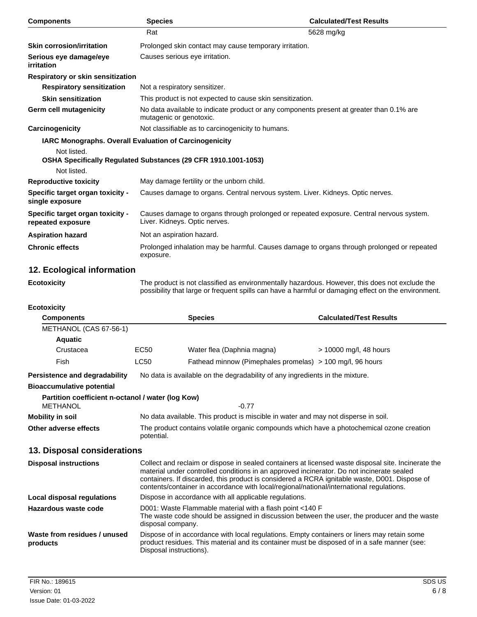| <b>Components</b>                                     | <b>Species</b>                                                 | <b>Calculated/Test Results</b>                                                                                                                                                                        |
|-------------------------------------------------------|----------------------------------------------------------------|-------------------------------------------------------------------------------------------------------------------------------------------------------------------------------------------------------|
|                                                       | Rat                                                            | 5628 mg/kg                                                                                                                                                                                            |
| <b>Skin corrosion/irritation</b>                      | Prolonged skin contact may cause temporary irritation.         |                                                                                                                                                                                                       |
| Serious eye damage/eye<br>irritation                  | Causes serious eye irritation.                                 |                                                                                                                                                                                                       |
| Respiratory or skin sensitization                     |                                                                |                                                                                                                                                                                                       |
| <b>Respiratory sensitization</b>                      | Not a respiratory sensitizer.                                  |                                                                                                                                                                                                       |
| <b>Skin sensitization</b>                             | This product is not expected to cause skin sensitization.      |                                                                                                                                                                                                       |
| Germ cell mutagenicity                                | mutagenic or genotoxic.                                        | No data available to indicate product or any components present at greater than 0.1% are                                                                                                              |
| Carcinogenicity                                       | Not classifiable as to carcinogenicity to humans.              |                                                                                                                                                                                                       |
|                                                       | <b>IARC Monographs. Overall Evaluation of Carcinogenicity</b>  |                                                                                                                                                                                                       |
| Not listed.                                           | OSHA Specifically Regulated Substances (29 CFR 1910.1001-1053) |                                                                                                                                                                                                       |
| Not listed.                                           |                                                                |                                                                                                                                                                                                       |
| <b>Reproductive toxicity</b>                          | May damage fertility or the unborn child.                      |                                                                                                                                                                                                       |
| Specific target organ toxicity -<br>single exposure   |                                                                | Causes damage to organs. Central nervous system. Liver. Kidneys. Optic nerves.                                                                                                                        |
| Specific target organ toxicity -<br>repeated exposure | Liver. Kidneys. Optic nerves.                                  | Causes damage to organs through prolonged or repeated exposure. Central nervous system.                                                                                                               |
| <b>Aspiration hazard</b>                              | Not an aspiration hazard.                                      |                                                                                                                                                                                                       |
| <b>Chronic effects</b>                                | exposure.                                                      | Prolonged inhalation may be harmful. Causes damage to organs through prolonged or repeated                                                                                                            |
| 12. Ecological information                            |                                                                |                                                                                                                                                                                                       |
| <b>Ecotoxicity</b>                                    |                                                                | The product is not classified as environmentally hazardous. However, this does not exclude the<br>possibility that large or frequent spills can have a harmful or damaging effect on the environment. |

#### **Ecotoxicity**

| <b>Components</b>                                                    |                                                                                                                                                                                                                                                                                                                                                                                               | <b>Species</b>                                            | <b>Calculated/Test Results</b> |
|----------------------------------------------------------------------|-----------------------------------------------------------------------------------------------------------------------------------------------------------------------------------------------------------------------------------------------------------------------------------------------------------------------------------------------------------------------------------------------|-----------------------------------------------------------|--------------------------------|
| METHANOL (CAS 67-56-1)                                               |                                                                                                                                                                                                                                                                                                                                                                                               |                                                           |                                |
| <b>Aquatic</b>                                                       |                                                                                                                                                                                                                                                                                                                                                                                               |                                                           |                                |
| Crustacea                                                            | <b>EC50</b>                                                                                                                                                                                                                                                                                                                                                                                   | Water flea (Daphnia magna)                                | > 10000 mg/l, 48 hours         |
| Fish                                                                 | <b>LC50</b>                                                                                                                                                                                                                                                                                                                                                                                   | Fathead minnow (Pimephales promelas) > 100 mg/l, 96 hours |                                |
| Persistence and degradability                                        | No data is available on the degradability of any ingredients in the mixture.                                                                                                                                                                                                                                                                                                                  |                                                           |                                |
| <b>Bioaccumulative potential</b>                                     |                                                                                                                                                                                                                                                                                                                                                                                               |                                                           |                                |
| Partition coefficient n-octanol / water (log Kow)<br><b>METHANOL</b> |                                                                                                                                                                                                                                                                                                                                                                                               | $-0.77$                                                   |                                |
| <b>Mobility in soil</b>                                              | No data available. This product is miscible in water and may not disperse in soil.                                                                                                                                                                                                                                                                                                            |                                                           |                                |
| Other adverse effects                                                | The product contains volatile organic compounds which have a photochemical ozone creation<br>potential.                                                                                                                                                                                                                                                                                       |                                                           |                                |
| 13. Disposal considerations                                          |                                                                                                                                                                                                                                                                                                                                                                                               |                                                           |                                |
| <b>Disposal instructions</b>                                         | Collect and reclaim or dispose in sealed containers at licensed waste disposal site. Incinerate the<br>material under controlled conditions in an approved incinerator. Do not incinerate sealed<br>containers. If discarded, this product is considered a RCRA ignitable waste, D001. Dispose of<br>contents/container in accordance with local/regional/national/international regulations. |                                                           |                                |
| Local disposal regulations                                           | Dispose in accordance with all applicable regulations.                                                                                                                                                                                                                                                                                                                                        |                                                           |                                |
| Hazardous waste code                                                 | D001: Waste Flammable material with a flash point <140 F<br>The waste code should be assigned in discussion between the user, the producer and the waste<br>disposal company.                                                                                                                                                                                                                 |                                                           |                                |
| Waste from residues / unused<br>products                             | Dispose of in accordance with local regulations. Empty containers or liners may retain some<br>product residues. This material and its container must be disposed of in a safe manner (see:<br>Disposal instructions).                                                                                                                                                                        |                                                           |                                |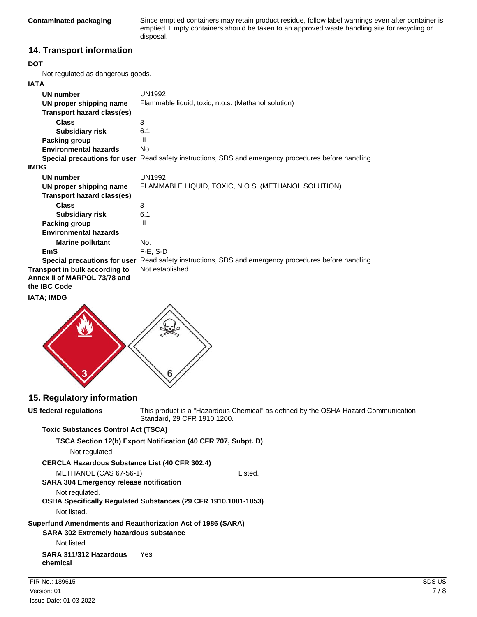Since emptied containers may retain product residue, follow label warnings even after container is emptied. Empty containers should be taken to an approved waste handling site for recycling or disposal.

## **14. Transport information**

#### **DOT**

Not regulated as dangerous goods.

#### **IATA**

| UN number                      | <b>UN1992</b>                                                                                        |
|--------------------------------|------------------------------------------------------------------------------------------------------|
| UN proper shipping name        | Flammable liquid, toxic, n.o.s. (Methanol solution)                                                  |
| Transport hazard class(es)     |                                                                                                      |
| <b>Class</b>                   | 3                                                                                                    |
| <b>Subsidiary risk</b>         | 6.1                                                                                                  |
| Packing group                  | Ш                                                                                                    |
| <b>Environmental hazards</b>   | No.                                                                                                  |
|                                | Special precautions for user Read safety instructions, SDS and emergency procedures before handling. |
| <b>IMDG</b>                    |                                                                                                      |
| UN number                      | UN1992                                                                                               |
| UN proper shipping name        | FLAMMABLE LIQUID, TOXIC, N.O.S. (METHANOL SOLUTION)                                                  |
| Transport hazard class(es)     |                                                                                                      |
| <b>Class</b>                   | 3                                                                                                    |
| <b>Subsidiary risk</b>         | 6.1                                                                                                  |
| Packing group                  | Ш                                                                                                    |
| <b>Environmental hazards</b>   |                                                                                                      |
| <b>Marine pollutant</b>        | No.                                                                                                  |
| <b>EmS</b>                     | $F-E$ , S-D                                                                                          |
|                                | Special precautions for user Read safety instructions, SDS and emergency procedures before handling. |
| Transport in bulk according to | Not established.                                                                                     |
| Annex II of MARPOL 73/78 and   |                                                                                                      |
| the <b>IBC</b> Code            |                                                                                                      |

#### **IATA; IMDG**



#### **15. Regulatory information**

**US federal regulations**

This product is a "Hazardous Chemical" as defined by the OSHA Hazard Communication Standard, 29 CFR 1910.1200.

#### **Toxic Substances Control Act (TSCA)**

**TSCA Section 12(b) Export Notification (40 CFR 707, Subpt. D)** Not regulated. **CERCLA Hazardous Substance List (40 CFR 302.4)** METHANOL (CAS 67-56-1) Listed. **SARA 304 Emergency release notification** Not regulated. **OSHA Specifically Regulated Substances (29 CFR 1910.1001-1053)** Not listed. **SARA 302 Extremely hazardous substance Superfund Amendments and Reauthorization Act of 1986 (SARA)** Not listed. **SARA 311/312 Hazardous** Yes **chemical**